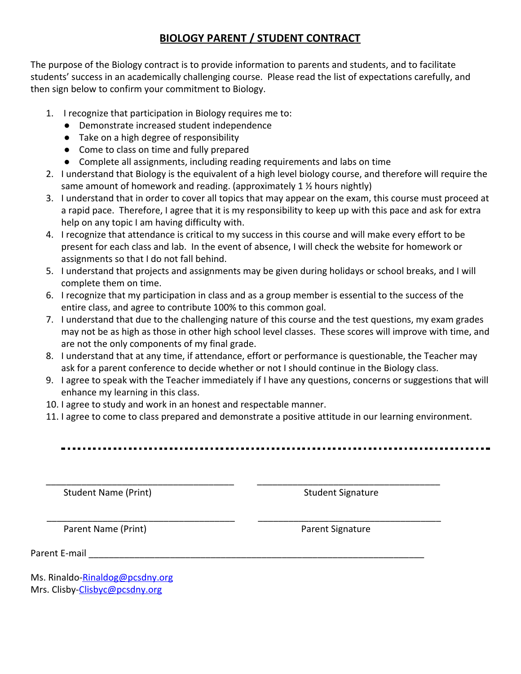## **BIOLOGY PARENT / STUDENT CONTRACT**

The purpose of the Biology contract is to provide information to parents and students, and to facilitate students' success in an academically challenging course. Please read the list of expectations carefully, and then sign below to confirm your commitment to Biology.

- 1. I recognize that participation in Biology requires me to:
	- Demonstrate increased student independence
	- Take on a high degree of responsibility
	- Come to class on time and fully prepared
	- Complete all assignments, including reading requirements and labs on time
- 2. I understand that Biology is the equivalent of a high level biology course, and therefore will require the same amount of homework and reading. (approximately 1 ½ hours nightly)
- 3. I understand that in order to cover all topics that may appear on the exam, this course must proceed at a rapid pace. Therefore, I agree that it is my responsibility to keep up with this pace and ask for extra help on any topic I am having difficulty with.
- 4. I recognize that attendance is critical to my success in this course and will make every effort to be present for each class and lab. In the event of absence, I will check the website for homework or assignments so that I do not fall behind.
- 5. I understand that projects and assignments may be given during holidays or school breaks, and I will complete them on time.
- 6. I recognize that my participation in class and as a group member is essential to the success of the entire class, and agree to contribute 100% to this common goal.
- 7. I understand that due to the challenging nature of this course and the test questions, my exam grades may not be as high as those in other high school level classes. These scores will improve with time, and are not the only components of my final grade.
- 8. I understand that at any time, if attendance, effort or performance is questionable, the Teacher may ask for a parent conference to decide whether or not I should continue in the Biology class.
- 9. I agree to speak with the Teacher immediately if I have any questions, concerns or suggestions that will enhance my learning in this class.
- 10. I agree to study and work in an honest and respectable manner.
- 11. I agree to come to class prepared and demonstrate a positive attitude in our learning environment.

\_\_\_\_\_\_\_\_\_\_\_\_\_\_\_\_\_\_\_\_\_\_\_\_\_\_\_\_\_\_\_\_\_\_\_\_\_ \_\_\_\_\_\_\_\_\_\_\_\_\_\_\_\_\_\_\_\_\_\_\_\_\_\_\_\_\_\_\_\_\_\_\_\_

\_\_\_\_\_\_\_\_\_\_\_\_\_\_\_\_\_\_\_\_\_\_\_\_\_\_\_\_\_\_\_\_\_\_\_\_\_ \_\_\_\_\_\_\_\_\_\_\_\_\_\_\_\_\_\_\_\_\_\_\_\_\_\_\_\_\_\_\_\_\_\_\_\_

Student Name (Print) Student Signature

Parent Name (Print) Parent Signature

Parent E-mail

Ms. [Rinaldo-Rinaldog@pcsdny.org](mailto:Rinaldo-Rinaldog@pcsdny.org) Mrs. Clisby-Clisbyc@pcsdny.org